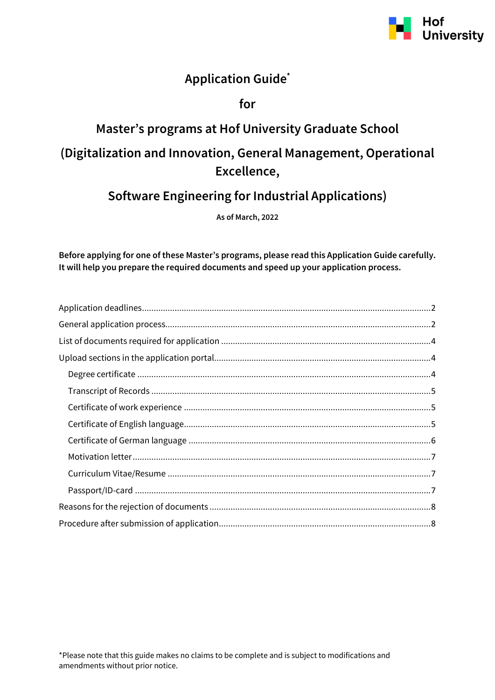

## **Application Guide\***

### **for**

# **Master's programs at Hof University Graduate School (Digitalization and Innovation, General Management, Operational Excellence,**

## **Software Engineering for Industrial Applications)**

**As of March, 2022**

**Before applying for one of these Master's programs, please read this Application Guide carefully. It will help you prepare the required documents and speed up your application process.**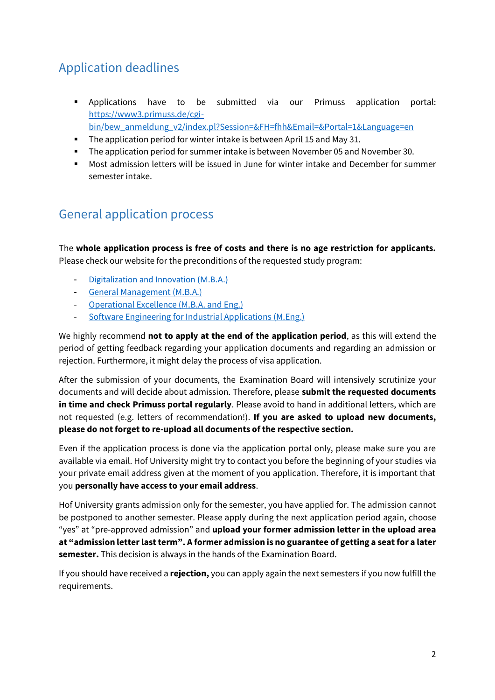# <span id="page-1-0"></span>Application deadlines

- Applications have to be submitted via our Primuss application portal: [https://www3.primuss.de/cgi](https://www3.primuss.de/cgi-bin/bew_anmeldung_v2/index.pl?Session=&FH=fhh&Email=&Portal=1&Language=en)[bin/bew\\_anmeldung\\_v2/index.pl?Session=&FH=fhh&Email=&Portal=1&Language=en](https://www3.primuss.de/cgi-bin/bew_anmeldung_v2/index.pl?Session=&FH=fhh&Email=&Portal=1&Language=en)
- The application period for winter intake is between April 15 and May 31.
- The application period for summer intake is between November 05 and November 30.
- Most admission letters will be issued in June for winter intake and December for summer semester intake.

### <span id="page-1-1"></span>General application process

The **whole application process is free of costs and there is no age restriction for applicants.**  Please check our website for the preconditions of the requested study program:

- [Digitalization and Innovation \(M.B.A.\)](https://www.hof-university.com/graduate-school/masters-program-full-time/digitalization-and-innovation-mba.html)
- [General Management \(M.B.A.\)](https://www.hof-university.com/graduate-school/masters-program-full-time/general-management-mba.html)
- [Operational Excellence \(M.B.A.](https://www.hof-university.com/graduate-school/masters-program-full-time/operational-excellence-mba-and-eng.html) and Eng.)
- Software Engineering [for Industrial Applications](https://www.hof-university.com/graduate-school/masters-program-full-time/software-engineering-for-industrial-applications-meng.html) (M.Eng.)

We highly recommend **not to apply at the end of the application period**, as this will extend the period of getting feedback regarding your application documents and regarding an admission or rejection. Furthermore, it might delay the process of visa application.

After the submission of your documents, the Examination Board will intensively scrutinize your documents and will decide about admission. Therefore, please **submit the requested documents in time and check Primuss portal regularly**. Please avoid to hand in additional letters, which are not requested (e.g. letters of recommendation!). **If you are asked to upload new documents, please do not forget to re-upload all documents of the respective section.**

Even if the application process is done via the application portal only, please make sure you are available via email. Hof University might try to contact you before the beginning of your studies via your private email address given at the moment of you application. Therefore, it is important that you **personally have access to your email address**.

Hof University grants admission only for the semester, you have applied for. The admission cannot be postponed to another semester. Please apply during the next application period again, choose "yes" at "pre-approved admission" and **upload your former admission letter in the upload area at "admission letter last term". A former admission is no guarantee of getting a seat for a later semester.** This decision is always in the hands of the Examination Board.

If you should have received a **rejection,** you can apply again the next semesters if you now fulfill the requirements.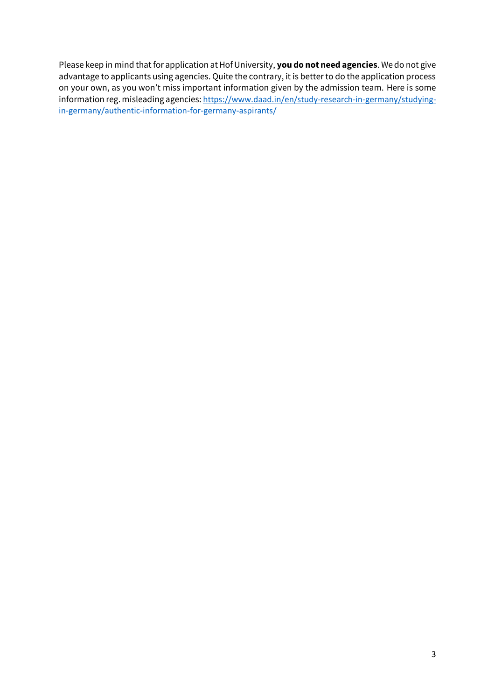Please keep in mind that for application at Hof University, **you do not need agencies**. We do not give advantage to applicants using agencies. Quite the contrary, it is better to do the application process on your own, as you won't miss important information given by the admission team. Here is some information reg. misleading agencies: [https://www.daad.in/en/study-research-in-germany/studying](https://www.daad.in/en/study-research-in-germany/studying-in-germany/authentic-information-for-germany-aspirants/)[in-germany/authentic-information-for-germany-aspirants/](https://www.daad.in/en/study-research-in-germany/studying-in-germany/authentic-information-for-germany-aspirants/)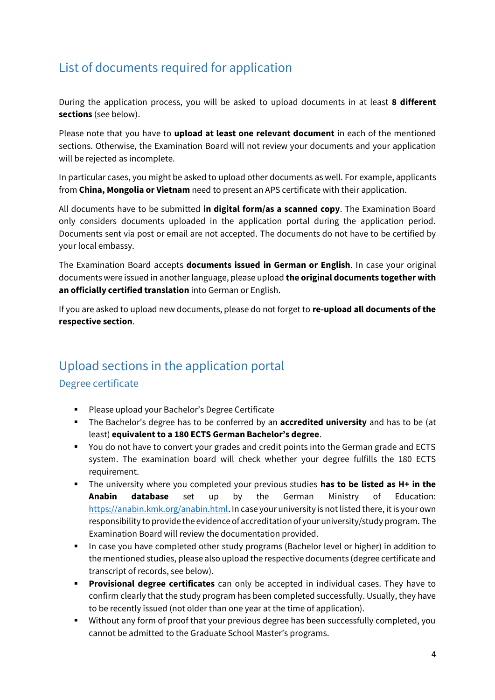# <span id="page-3-0"></span>List of documents required for application

During the application process, you will be asked to upload documents in at least **8 different sections** (see below).

Please note that you have to **upload at least one relevant document** in each of the mentioned sections. Otherwise, the Examination Board will not review your documents and your application will be rejected as incomplete.

In particular cases, you might be asked to upload other documents as well. For example, applicants from **China, Mongolia or Vietnam** need to present an APS certificate with their application.

All documents have to be submitted **in digital form/as a scanned copy**. The Examination Board only considers documents uploaded in the application portal during the application period. Documents sent via post or email are not accepted. The documents do not have to be certified by your local embassy.

The Examination Board accepts **documents issued in German or English**. In case your original documents were issued in another language, please upload **the original documents together with an officially certified translation** into German or English.

If you are asked to upload new documents, please do not forget to **re-upload all documents of the respective section**.

# <span id="page-3-1"></span>Upload sections in the application portal

### <span id="page-3-2"></span>Degree certificate

- Please upload your Bachelor's Degree Certificate
- The Bachelor's degree has to be conferred by an **accredited university** and has to be (at least) **equivalent to a 180 ECTS German Bachelor's degree**.
- You do not have to convert your grades and credit points into the German grade and ECTS system. The examination board will check whether your degree fulfills the 180 ECTS requirement.
- The university where you completed your previous studies **has to be listed as H+ in the Anabin database** set up by the German Ministry of Education: [https://anabin.kmk.org/anabin.html.](https://anabin.kmk.org/anabin.html) In case your university is not listed there, it is your own responsibility to provide the evidence of accreditation of your university/study program. The Examination Board will review the documentation provided.
- **■** In case you have completed other study programs (Bachelor level or higher) in addition to the mentioned studies, please also upload the respective documents (degree certificate and transcript of records, see below).
- **Provisional degree certificates** can only be accepted in individual cases. They have to confirm clearly that the study program has been completed successfully. Usually, they have to be recently issued (not older than one year at the time of application).
- Without any form of proof that your previous degree has been successfully completed, you cannot be admitted to the Graduate School Master's programs.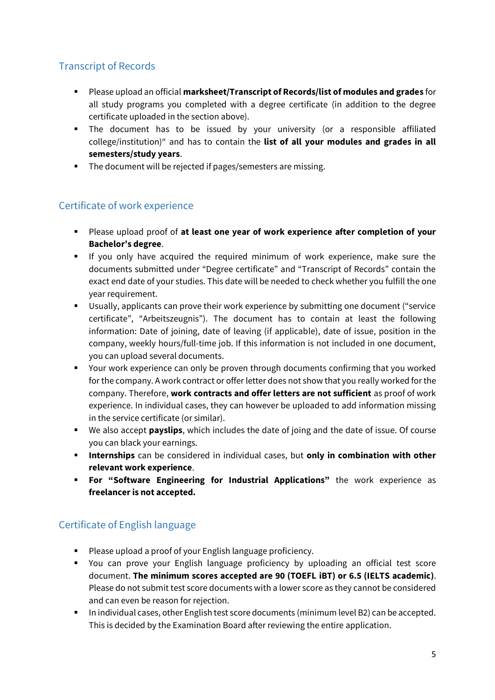### <span id="page-4-0"></span>Transcript of Records

- Please upload an official **marksheet/Transcript of Records/list of modules and grades** for all study programs you completed with a degree certificate (in addition to the degree certificate uploaded in the section above).
- The document has to be issued by your university (or a responsible affiliated college/institution)" and has to contain the **list of all your modules and grades in all semesters/study years**.
- The document will be rejected if pages/semesters are missing.

### <span id="page-4-1"></span>Certificate of work experience

- Please upload proof of **at least one year of work experience after completion of your Bachelor's degree**.
- If you only have acquired the required minimum of work experience, make sure the documents submitted under "Degree certificate" and "Transcript of Records" contain the exact end date of your studies. This date will be needed to check whether you fulfill the one year requirement.
- Usually, applicants can prove their work experience by submitting one document ("service certificate", "Arbeitszeugnis"). The document has to contain at least the following information: Date of joining, date of leaving (if applicable), date of issue, position in the company, weekly hours/full-time job. If this information is not included in one document, you can upload several documents.
- Your work experience can only be proven through documents confirming that you worked for the company. A work contract or offer letter does not show that you really worked for the company. Therefore, **work contracts and offer letters are not sufficient** as proof of work experience. In individual cases, they can however be uploaded to add information missing in the service certificate (or similar).
- We also accept **payslips**, which includes the date of joing and the date of issue. Of course you can black your earnings.
- **Internships** can be considered in individual cases, but **only in combination with other relevant work experience**.
- **For "Software Engineering for Industrial Applications"** the work experience as **freelancer is not accepted.**

### <span id="page-4-2"></span>Certificate of English language

- Please upload a proof of your English language proficiency.
- You can prove your English language proficiency by uploading an official test score document. **The minimum scores accepted are 90 (TOEFL iBT) or 6.5 (IELTS academic)**. Please do not submit test score documents with a lower score as they cannot be considered and can even be reason for rejection.
- In individual cases, other English test score documents (minimum level B2) can be accepted. This is decided by the Examination Board after reviewing the entire application.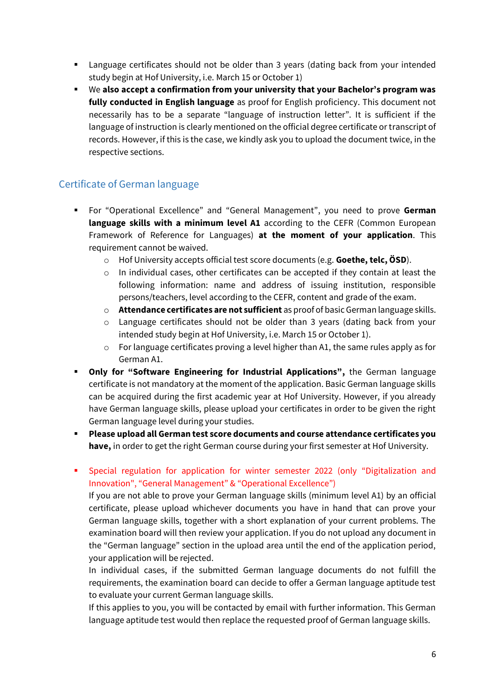- **EX** Language certificates should not be older than 3 years (dating back from your intended study begin at Hof University, i.e. March 15 or October 1)
- We **also accept a confirmation from your university that your Bachelor's program was fully conducted in English language** as proof for English proficiency. This document not necessarily has to be a separate "language of instruction letter". It is sufficient if the language of instruction is clearly mentioned on the official degree certificate or transcript of records. However, if this is the case, we kindly ask you to upload the document twice, in the respective sections.

### <span id="page-5-0"></span>Certificate of German language

- For "Operational Excellence" and "General Management", you need to prove **German language skills with a minimum level A1** according to the CEFR (Common European Framework of Reference for Languages) **at the moment of your application**. This requirement cannot be waived.
	- o Hof University accepts official test score documents (e.g. **Goethe, telc, ÖSD**).
	- $\circ$  In individual cases, other certificates can be accepted if they contain at least the following information: name and address of issuing institution, responsible persons/teachers, level according to the CEFR, content and grade of the exam.
	- o **Attendance certificates are not sufficient** as proof of basic German language skills.
	- o Language certificates should not be older than 3 years (dating back from your intended study begin at Hof University, i.e. March 15 or October 1).
	- $\circ$  For language certificates proving a level higher than A1, the same rules apply as for German A1.
- **Only for "Software Engineering for Industrial Applications",** the German language certificate is not mandatory at the moment of the application. Basic German language skills can be acquired during the first academic year at Hof University. However, if you already have German language skills, please upload your certificates in order to be given the right German language level during your studies.
- **Please upload all German test score documents and course attendance certificates you have,** in order to get the right German course during your first semester at Hof University.
- Special regulation for application for winter semester 2022 (only "Digitalization and Innovation", "General Management" & "Operational Excellence")

If you are not able to prove your German language skills (minimum level A1) by an official certificate, please upload whichever documents you have in hand that can prove your German language skills, together with a short explanation of your current problems. The examination board will then review your application. If you do not upload any document in the "German language" section in the upload area until the end of the application period, your application will be rejected.

In individual cases, if the submitted German language documents do not fulfill the requirements, the examination board can decide to offer a German language aptitude test to evaluate your current German language skills.

If this applies to you, you will be contacted by email with further information. This German language aptitude test would then replace the requested proof of German language skills.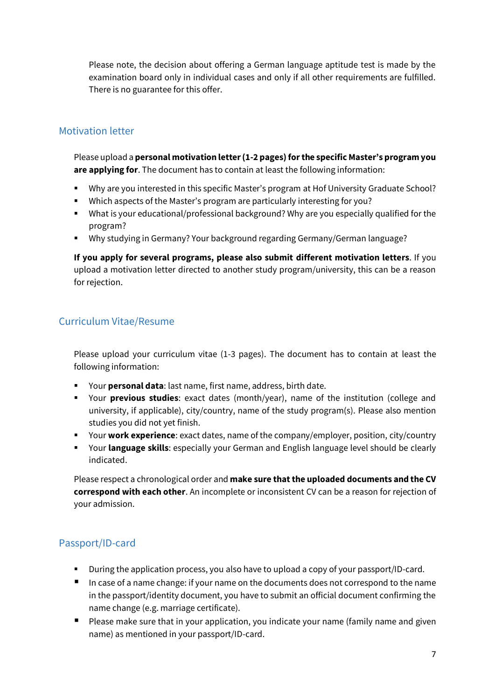Please note, the decision about offering a German language aptitude test is made by the examination board only in individual cases and only if all other requirements are fulfilled. There is no guarantee for this offer.

#### <span id="page-6-0"></span>Motivation letter

Please upload a **personal motivation letter (1-2 pages)for the specific Master's program you are applying for**. The document has to contain at least the following information:

- Why are you interested in this specific Master's program at Hof University Graduate School?
- Which aspects of the Master's program are particularly interesting for you?
- What is your educational/professional background? Why are you especially qualified for the program?
- Why studying in Germany? Your background regarding Germany/German language?

**If you apply for several programs, please also submit different motivation letters**. If you upload a motivation letter directed to another study program/university, this can be a reason for rejection.

#### <span id="page-6-1"></span>Curriculum Vitae/Resume

Please upload your curriculum vitae (1-3 pages). The document has to contain at least the following information:

- Your **personal data**: last name, first name, address, birth date.
- Your **previous studies**: exact dates (month/year), name of the institution (college and university, if applicable), city/country, name of the study program(s). Please also mention studies you did not yet finish.
- Your **work experience**: exact dates, name of the company/employer, position, city/country
- **EXED Your language skills:** especially your German and English language level should be clearly indicated.

Please respect a chronological order and **make sure that the uploaded documents and the CV correspond with each other**. An incomplete or inconsistent CV can be a reason for rejection of your admission.

### <span id="page-6-2"></span>Passport/ID-card

- During the application process, you also have to upload a copy of your passport/ID-card.
- In case of a name change: if your name on the documents does not correspond to the name in the passport/identity document, you have to submit an official document confirming the name change (e.g. marriage certificate).
- Please make sure that in your application, you indicate your name (family name and given name) as mentioned in your passport/ID-card.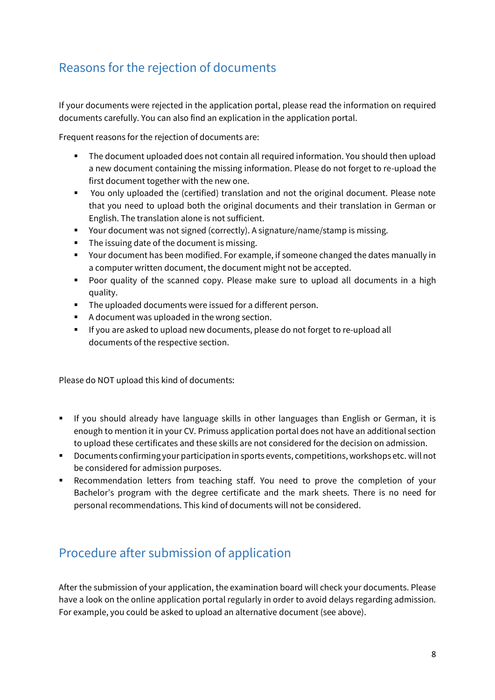# <span id="page-7-0"></span>Reasons for the rejection of documents

If your documents were rejected in the application portal, please read the information on required documents carefully. You can also find an explication in the application portal.

Frequent reasons for the rejection of documents are:

- The document uploaded does not contain all required information. You should then upload a new document containing the missing information. Please do not forget to re-upload the first document together with the new one.
- You only uploaded the (certified) translation and not the original document. Please note that you need to upload both the original documents and their translation in German or English. The translation alone is not sufficient.
- Your document was not signed (correctly). A signature/name/stamp is missing.
- The issuing date of the document is missing.
- Your document has been modified. For example, if someone changed the dates manually in a computer written document, the document might not be accepted.
- Poor quality of the scanned copy. Please make sure to upload all documents in a high quality.
- The uploaded documents were issued for a different person.
- A document was uploaded in the wrong section.
- If you are asked to upload new documents, please do not forget to re-upload all documents of the respective section.

Please do NOT upload this kind of documents:

- If you should already have language skills in other languages than English or German, it is enough to mention it in your CV. Primuss application portal does not have an additional section to upload these certificates and these skills are not considered for the decision on admission.
- Documents confirming your participation in sports events, competitions, workshops etc. will not be considered for admission purposes.
- **EXECOMMENDER EXECOMMENT IS RECOMMENT CONTER** Recommendation letters from teaching staff. You need to prove the completion of your Bachelor's program with the degree certificate and the mark sheets. There is no need for personal recommendations. This kind of documents will not be considered.

### <span id="page-7-1"></span>Procedure after submission of application

After the submission of your application, the examination board will check your documents. Please have a look on the online application portal regularly in order to avoid delays regarding admission. For example, you could be asked to upload an alternative document (see above).